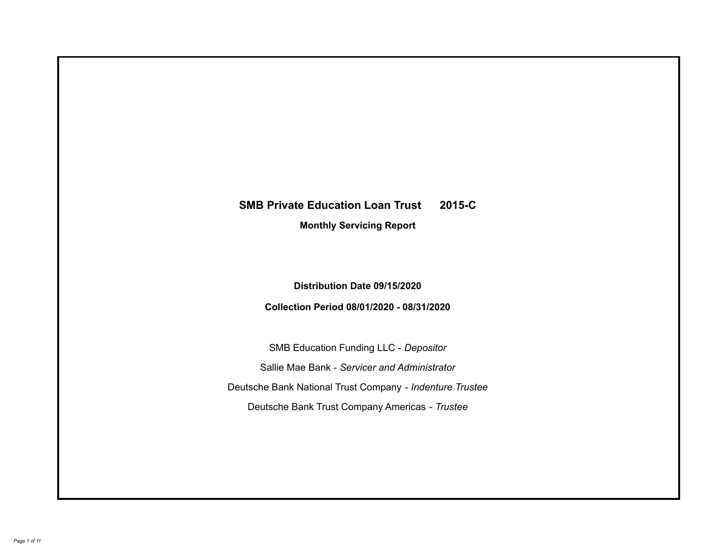# **SMB Private Education Loan Trust 2015-C Monthly Servicing Report**

**Distribution Date 09/15/2020**

**Collection Period 08/01/2020 - 08/31/2020**

SMB Education Funding LLC - *Depositor* Sallie Mae Bank - *Servicer and Administrator* Deutsche Bank National Trust Company - *Indenture Trustee* Deutsche Bank Trust Company Americas - *Trustee*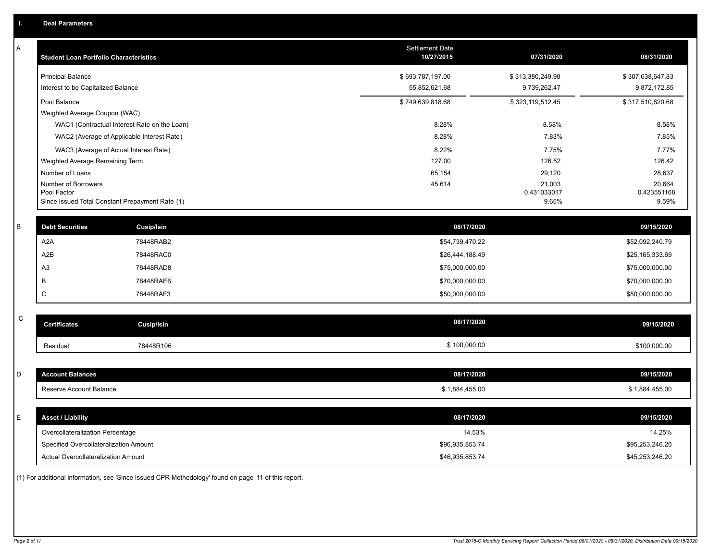|                                    |                                                | Settlement Date<br>10/27/2015                                                                                                                                                                                                                                                                                                                                                                                                                                                                | 07/31/2020                       | 08/31/2020                                                                                                                                                                                                                                     |
|------------------------------------|------------------------------------------------|----------------------------------------------------------------------------------------------------------------------------------------------------------------------------------------------------------------------------------------------------------------------------------------------------------------------------------------------------------------------------------------------------------------------------------------------------------------------------------------------|----------------------------------|------------------------------------------------------------------------------------------------------------------------------------------------------------------------------------------------------------------------------------------------|
| <b>Principal Balance</b>           |                                                | \$693,787,197.00<br>55,852,621.68                                                                                                                                                                                                                                                                                                                                                                                                                                                            | \$313,380,249.98<br>9,739,262.47 | \$307,638,647.83<br>9,872,172.85                                                                                                                                                                                                               |
| Pool Balance                       |                                                | \$749,639,818.68                                                                                                                                                                                                                                                                                                                                                                                                                                                                             | \$323,119,512.45                 | \$317,510,820.68                                                                                                                                                                                                                               |
|                                    |                                                |                                                                                                                                                                                                                                                                                                                                                                                                                                                                                              |                                  | 8.58%                                                                                                                                                                                                                                          |
|                                    |                                                | 8.28%                                                                                                                                                                                                                                                                                                                                                                                                                                                                                        | 7.83%                            | 7.85%                                                                                                                                                                                                                                          |
|                                    |                                                | 8.22%                                                                                                                                                                                                                                                                                                                                                                                                                                                                                        | 7.75%                            | 7.77%                                                                                                                                                                                                                                          |
|                                    |                                                | 127.00                                                                                                                                                                                                                                                                                                                                                                                                                                                                                       | 126.52                           | 126.42                                                                                                                                                                                                                                         |
| Number of Loans                    |                                                | 65,154                                                                                                                                                                                                                                                                                                                                                                                                                                                                                       | 29,120                           | 28,637                                                                                                                                                                                                                                         |
| Number of Borrowers<br>Pool Factor |                                                | 45,614                                                                                                                                                                                                                                                                                                                                                                                                                                                                                       | 21,003<br>0.431033017<br>9.65%   | 20,664<br>0.423551168<br>9.59%                                                                                                                                                                                                                 |
|                                    |                                                |                                                                                                                                                                                                                                                                                                                                                                                                                                                                                              |                                  |                                                                                                                                                                                                                                                |
| <b>Debt Securities</b>             | Cusip/Isin                                     |                                                                                                                                                                                                                                                                                                                                                                                                                                                                                              |                                  | 09/15/2020                                                                                                                                                                                                                                     |
| A <sub>2</sub> A                   | 78448RAB2                                      |                                                                                                                                                                                                                                                                                                                                                                                                                                                                                              |                                  | \$52,092,240.79                                                                                                                                                                                                                                |
| A2B                                | 78448RAC0                                      |                                                                                                                                                                                                                                                                                                                                                                                                                                                                                              |                                  | \$25,165,333.69                                                                                                                                                                                                                                |
| A <sub>3</sub>                     | 78448RAD8                                      |                                                                                                                                                                                                                                                                                                                                                                                                                                                                                              |                                  | \$75,000,000.00                                                                                                                                                                                                                                |
| B                                  | 78448RAE6                                      |                                                                                                                                                                                                                                                                                                                                                                                                                                                                                              |                                  | \$70,000,000.00                                                                                                                                                                                                                                |
| C                                  | 78448RAF3                                      |                                                                                                                                                                                                                                                                                                                                                                                                                                                                                              |                                  | \$50,000,000.00                                                                                                                                                                                                                                |
|                                    |                                                |                                                                                                                                                                                                                                                                                                                                                                                                                                                                                              |                                  | 09/15/2020                                                                                                                                                                                                                                     |
|                                    |                                                |                                                                                                                                                                                                                                                                                                                                                                                                                                                                                              |                                  |                                                                                                                                                                                                                                                |
| Residual                           | 78448R106                                      |                                                                                                                                                                                                                                                                                                                                                                                                                                                                                              |                                  | \$100,000.00                                                                                                                                                                                                                                   |
|                                    |                                                |                                                                                                                                                                                                                                                                                                                                                                                                                                                                                              |                                  | 09/15/2020                                                                                                                                                                                                                                     |
| Reserve Account Balance            |                                                |                                                                                                                                                                                                                                                                                                                                                                                                                                                                                              |                                  | \$1,884,455.00                                                                                                                                                                                                                                 |
|                                    |                                                |                                                                                                                                                                                                                                                                                                                                                                                                                                                                                              |                                  |                                                                                                                                                                                                                                                |
| <b>Asset / Liability</b>           |                                                |                                                                                                                                                                                                                                                                                                                                                                                                                                                                                              |                                  | 09/15/2020                                                                                                                                                                                                                                     |
|                                    |                                                |                                                                                                                                                                                                                                                                                                                                                                                                                                                                                              |                                  | 14.25%                                                                                                                                                                                                                                         |
|                                    |                                                |                                                                                                                                                                                                                                                                                                                                                                                                                                                                                              |                                  | \$95,253,246.20                                                                                                                                                                                                                                |
|                                    |                                                |                                                                                                                                                                                                                                                                                                                                                                                                                                                                                              |                                  | \$45,253,246.20                                                                                                                                                                                                                                |
|                                    | <b>Certificates</b><br><b>Account Balances</b> | <b>Student Loan Portfolio Characteristics</b><br>Interest to be Capitalized Balance<br>Weighted Average Coupon (WAC)<br>WAC1 (Contractual Interest Rate on the Loan)<br>WAC2 (Average of Applicable Interest Rate)<br>WAC3 (Average of Actual Interest Rate)<br>Weighted Average Remaining Term<br>Since Issued Total Constant Prepayment Rate (1)<br><b>Cusip/Isin</b><br>Overcollateralization Percentage<br>Specified Overcollateralization Amount<br>Actual Overcollateralization Amount | 8.28%                            | 8.58%<br>08/17/2020<br>\$54,739,470.22<br>\$26,444,188.49<br>\$75,000,000.00<br>\$70,000,000.00<br>\$50,000,000.00<br>08/17/2020<br>\$100,000.00<br>08/17/2020<br>\$1,884,455.00<br>08/17/2020<br>14.53%<br>\$96,935,853.74<br>\$46,935,853.74 |

(1) For additional information, see 'Since Issued CPR Methodology' found on page 11 of this report.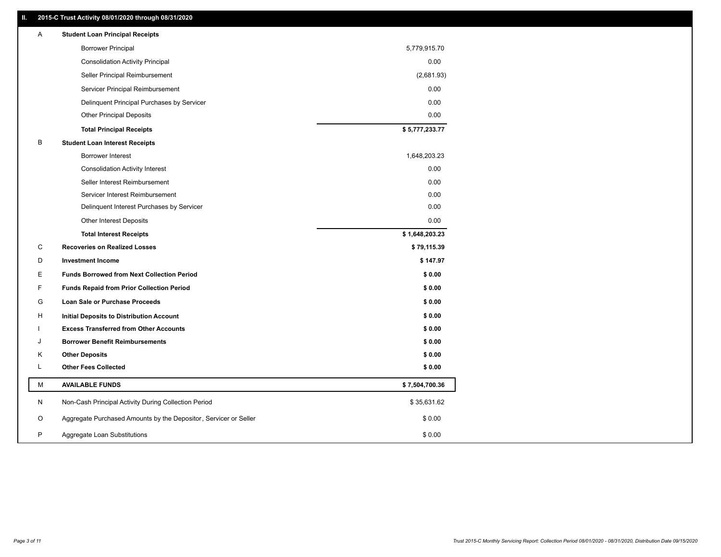# **II. 2015-C Trust Activity 08/01/2020 through 08/31/2020**

| Α | <b>Student Loan Principal Receipts</b>                           |                |  |
|---|------------------------------------------------------------------|----------------|--|
|   | <b>Borrower Principal</b>                                        | 5,779,915.70   |  |
|   | <b>Consolidation Activity Principal</b>                          | 0.00           |  |
|   | Seller Principal Reimbursement                                   | (2,681.93)     |  |
|   | Servicer Principal Reimbursement                                 | 0.00           |  |
|   | Delinquent Principal Purchases by Servicer                       | 0.00           |  |
|   | <b>Other Principal Deposits</b>                                  | 0.00           |  |
|   | <b>Total Principal Receipts</b>                                  | \$5,777,233.77 |  |
| в | <b>Student Loan Interest Receipts</b>                            |                |  |
|   | Borrower Interest                                                | 1,648,203.23   |  |
|   | <b>Consolidation Activity Interest</b>                           | 0.00           |  |
|   | Seller Interest Reimbursement                                    | 0.00           |  |
|   | Servicer Interest Reimbursement                                  | 0.00           |  |
|   | Delinquent Interest Purchases by Servicer                        | 0.00           |  |
|   | Other Interest Deposits                                          | 0.00           |  |
|   | <b>Total Interest Receipts</b>                                   | \$1,648,203.23 |  |
| C | <b>Recoveries on Realized Losses</b>                             | \$79,115.39    |  |
| D | <b>Investment Income</b>                                         | \$147.97       |  |
| Е | <b>Funds Borrowed from Next Collection Period</b>                | \$0.00         |  |
| F | <b>Funds Repaid from Prior Collection Period</b>                 | \$0.00         |  |
| G | <b>Loan Sale or Purchase Proceeds</b>                            | \$0.00         |  |
| н | Initial Deposits to Distribution Account                         | \$0.00         |  |
|   | <b>Excess Transferred from Other Accounts</b>                    | \$0.00         |  |
| J | <b>Borrower Benefit Reimbursements</b>                           | \$0.00         |  |
| Κ | <b>Other Deposits</b>                                            | \$0.00         |  |
| Г | <b>Other Fees Collected</b>                                      | \$0.00         |  |
| М | <b>AVAILABLE FUNDS</b>                                           | \$7,504,700.36 |  |
| N | Non-Cash Principal Activity During Collection Period             | \$35,631.62    |  |
| O | Aggregate Purchased Amounts by the Depositor, Servicer or Seller | \$0.00         |  |
| P | Aggregate Loan Substitutions                                     | \$0.00         |  |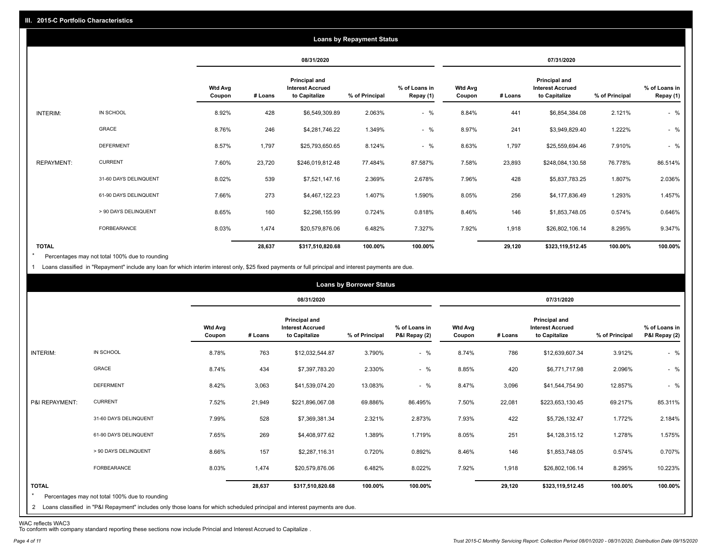|                   |                       |                          |         |                                                           | <b>Loans by Repayment Status</b> |                            |                          |         |                                                           |                |                            |
|-------------------|-----------------------|--------------------------|---------|-----------------------------------------------------------|----------------------------------|----------------------------|--------------------------|---------|-----------------------------------------------------------|----------------|----------------------------|
|                   |                       |                          |         | 08/31/2020                                                |                                  |                            |                          |         | 07/31/2020                                                |                |                            |
|                   |                       | <b>Wtd Avg</b><br>Coupon | # Loans | Principal and<br><b>Interest Accrued</b><br>to Capitalize | % of Principal                   | % of Loans in<br>Repay (1) | <b>Wtd Avg</b><br>Coupon | # Loans | Principal and<br><b>Interest Accrued</b><br>to Capitalize | % of Principal | % of Loans in<br>Repay (1) |
| INTERIM:          | IN SCHOOL             | 8.92%                    | 428     | \$6,549,309.89                                            | 2.063%                           | $-$ %                      | 8.84%                    | 441     | \$6,854,384.08                                            | 2.121%         | $-$ %                      |
|                   | GRACE                 | 8.76%                    | 246     | \$4,281,746.22                                            | 1.349%                           | $-$ %                      | 8.97%                    | 241     | \$3,949,829.40                                            | 1.222%         | $-$ %                      |
|                   | <b>DEFERMENT</b>      | 8.57%                    | 1,797   | \$25,793,650.65                                           | 8.124%                           | $-$ %                      | 8.63%                    | 1,797   | \$25,559,694.46                                           | 7.910%         | $-$ %                      |
| <b>REPAYMENT:</b> | <b>CURRENT</b>        | 7.60%                    | 23,720  | \$246,019,812.48                                          | 77.484%                          | 87.587%                    | 7.58%                    | 23,893  | \$248,084,130.58                                          | 76.778%        | 86.514%                    |
|                   | 31-60 DAYS DELINQUENT | 8.02%                    | 539     | \$7,521,147.16                                            | 2.369%                           | 2.678%                     | 7.96%                    | 428     | \$5,837,783.25                                            | 1.807%         | 2.036%                     |
|                   | 61-90 DAYS DELINQUENT | 7.66%                    | 273     | \$4,467,122.23                                            | 1.407%                           | 1.590%                     | 8.05%                    | 256     | \$4,177,836.49                                            | 1.293%         | 1.457%                     |
|                   | > 90 DAYS DELINQUENT  | 8.65%                    | 160     | \$2,298,155.99                                            | 0.724%                           | 0.818%                     | 8.46%                    | 146     | \$1,853,748.05                                            | 0.574%         | 0.646%                     |
|                   | FORBEARANCE           | 8.03%                    | 1,474   | \$20,579,876.06                                           | 6.482%                           | 7.327%                     | 7.92%                    | 1,918   | \$26,802,106.14                                           | 8.295%         | 9.347%                     |
| <b>TOTAL</b>      |                       |                          | 28,637  | \$317,510,820.68                                          | 100.00%                          | 100.00%                    |                          | 29,120  | \$323,119,512.45                                          | 100.00%        | 100.00%                    |

Percentages may not total 100% due to rounding  $\star$ 

1 Loans classified in "Repayment" include any loan for which interim interest only, \$25 fixed payments or full principal and interest payments are due.

|                         |                                                                                                                              |                          |         |                                                           | <b>Loans by Borrower Status</b> |                                |                          |         |                                                                  |                |                                |
|-------------------------|------------------------------------------------------------------------------------------------------------------------------|--------------------------|---------|-----------------------------------------------------------|---------------------------------|--------------------------------|--------------------------|---------|------------------------------------------------------------------|----------------|--------------------------------|
|                         |                                                                                                                              |                          |         | 08/31/2020                                                |                                 |                                |                          |         | 07/31/2020                                                       |                |                                |
|                         |                                                                                                                              | <b>Wtd Avg</b><br>Coupon | # Loans | Principal and<br><b>Interest Accrued</b><br>to Capitalize | % of Principal                  | % of Loans in<br>P&I Repay (2) | <b>Wtd Avg</b><br>Coupon | # Loans | <b>Principal and</b><br><b>Interest Accrued</b><br>to Capitalize | % of Principal | % of Loans in<br>P&I Repay (2) |
| INTERIM:                | IN SCHOOL                                                                                                                    | 8.78%                    | 763     | \$12,032,544.87                                           | 3.790%                          | $-$ %                          | 8.74%                    | 786     | \$12,639,607.34                                                  | 3.912%         | $-$ %                          |
|                         | GRACE                                                                                                                        | 8.74%                    | 434     | \$7,397,783.20                                            | 2.330%                          | $-$ %                          | 8.85%                    | 420     | \$6,771,717.98                                                   | 2.096%         | $-$ %                          |
|                         | <b>DEFERMENT</b>                                                                                                             | 8.42%                    | 3,063   | \$41,539,074.20                                           | 13.083%                         | $-$ %                          | 8.47%                    | 3,096   | \$41,544,754.90                                                  | 12.857%        | $-$ %                          |
| P&I REPAYMENT:          | <b>CURRENT</b>                                                                                                               | 7.52%                    | 21,949  | \$221,896,067.08                                          | 69.886%                         | 86.495%                        | 7.50%                    | 22,081  | \$223,653,130.45                                                 | 69.217%        | 85.311%                        |
|                         | 31-60 DAYS DELINQUENT                                                                                                        | 7.99%                    | 528     | \$7,369,381.34                                            | 2.321%                          | 2.873%                         | 7.93%                    | 422     | \$5,726,132.47                                                   | 1.772%         | 2.184%                         |
|                         | 61-90 DAYS DELINQUENT                                                                                                        | 7.65%                    | 269     | \$4,408,977.62                                            | 1.389%                          | 1.719%                         | 8.05%                    | 251     | \$4,128,315.12                                                   | 1.278%         | 1.575%                         |
|                         | > 90 DAYS DELINQUENT                                                                                                         | 8.66%                    | 157     | \$2,287,116.31                                            | 0.720%                          | 0.892%                         | 8.46%                    | 146     | \$1,853,748.05                                                   | 0.574%         | 0.707%                         |
|                         | <b>FORBEARANCE</b>                                                                                                           | 8.03%                    | 1,474   | \$20,579,876.06                                           | 6.482%                          | 8.022%                         | 7.92%                    | 1,918   | \$26,802,106.14                                                  | 8.295%         | 10.223%                        |
| <b>TOTAL</b><br>$\star$ | Percentages may not total 100% due to rounding                                                                               |                          | 28,637  | \$317,510,820.68                                          | 100.00%                         | 100.00%                        |                          | 29,120  | \$323,119,512.45                                                 | 100.00%        | 100.00%                        |
|                         | 2 Loans classified in "P&I Repayment" includes only those loans for which scheduled principal and interest payments are due. |                          |         |                                                           |                                 |                                |                          |         |                                                                  |                |                                |

WAC reflects WAC3 To conform with company standard reporting these sections now include Princial and Interest Accrued to Capitalize .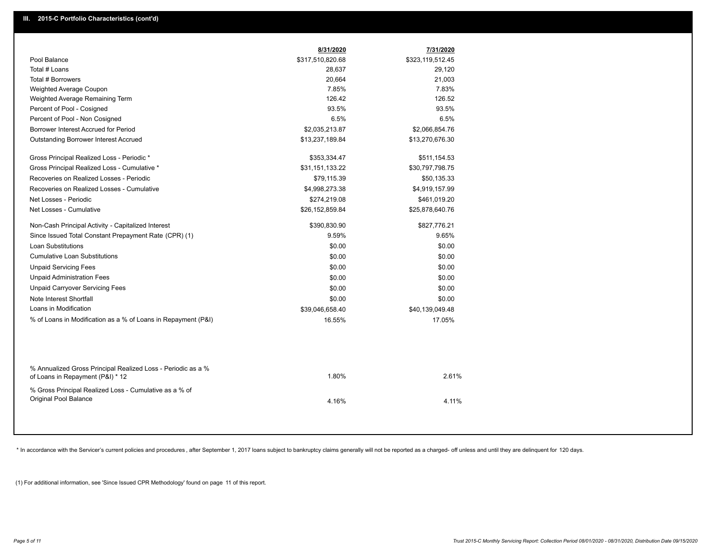|                                                                                                  | 8/31/2020        | 7/31/2020        |  |
|--------------------------------------------------------------------------------------------------|------------------|------------------|--|
| Pool Balance                                                                                     | \$317,510,820.68 | \$323,119,512.45 |  |
| Total # Loans                                                                                    | 28,637           | 29,120           |  |
| Total # Borrowers                                                                                | 20,664           | 21,003           |  |
| Weighted Average Coupon                                                                          | 7.85%            | 7.83%            |  |
| Weighted Average Remaining Term                                                                  | 126.42           | 126.52           |  |
| Percent of Pool - Cosigned                                                                       | 93.5%            | 93.5%            |  |
| Percent of Pool - Non Cosigned                                                                   | 6.5%             | 6.5%             |  |
| Borrower Interest Accrued for Period                                                             | \$2,035,213.87   | \$2,066,854.76   |  |
| Outstanding Borrower Interest Accrued                                                            | \$13,237,189.84  | \$13,270,676.30  |  |
| Gross Principal Realized Loss - Periodic *                                                       | \$353,334.47     | \$511,154.53     |  |
| Gross Principal Realized Loss - Cumulative *                                                     | \$31,151,133.22  | \$30,797,798.75  |  |
| Recoveries on Realized Losses - Periodic                                                         | \$79,115.39      | \$50,135.33      |  |
| Recoveries on Realized Losses - Cumulative                                                       | \$4,998,273.38   | \$4,919,157.99   |  |
| Net Losses - Periodic                                                                            | \$274,219.08     | \$461,019.20     |  |
| Net Losses - Cumulative                                                                          | \$26,152,859.84  | \$25,878,640.76  |  |
| Non-Cash Principal Activity - Capitalized Interest                                               | \$390,830.90     | \$827,776.21     |  |
| Since Issued Total Constant Prepayment Rate (CPR) (1)                                            | 9.59%            | 9.65%            |  |
| <b>Loan Substitutions</b>                                                                        | \$0.00           | \$0.00           |  |
| <b>Cumulative Loan Substitutions</b>                                                             | \$0.00           | \$0.00           |  |
| <b>Unpaid Servicing Fees</b>                                                                     | \$0.00           | \$0.00           |  |
| <b>Unpaid Administration Fees</b>                                                                | \$0.00           | \$0.00           |  |
| <b>Unpaid Carryover Servicing Fees</b>                                                           | \$0.00           | \$0.00           |  |
| Note Interest Shortfall                                                                          | \$0.00           | \$0.00           |  |
| Loans in Modification                                                                            | \$39,046,658.40  | \$40,139,049.48  |  |
| % of Loans in Modification as a % of Loans in Repayment (P&I)                                    | 16.55%           | 17.05%           |  |
|                                                                                                  |                  |                  |  |
| % Annualized Gross Principal Realized Loss - Periodic as a %<br>of Loans in Repayment (P&I) * 12 | 1.80%            | 2.61%            |  |
| % Gross Principal Realized Loss - Cumulative as a % of                                           |                  |                  |  |
| Original Pool Balance                                                                            | 4.16%            | 4.11%            |  |

\* In accordance with the Servicer's current policies and procedures, after September 1, 2017 loans subject to bankruptcy claims generally will not be reported as a charged- off unless and until they are delinquent for 120

(1) For additional information, see 'Since Issued CPR Methodology' found on page 11 of this report.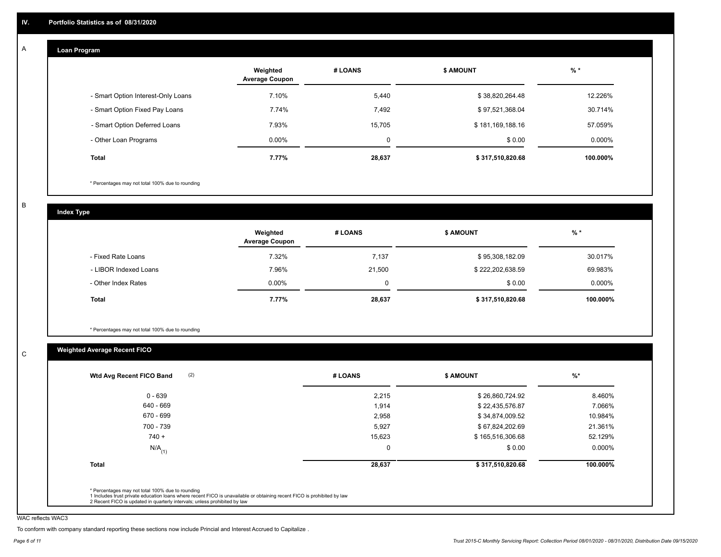#### **Loan Program**  A

|                                    | Weighted<br><b>Average Coupon</b> | # LOANS     | <b>\$ AMOUNT</b> | $%$ *     |
|------------------------------------|-----------------------------------|-------------|------------------|-----------|
| - Smart Option Interest-Only Loans | 7.10%                             | 5,440       | \$38,820,264.48  | 12.226%   |
| - Smart Option Fixed Pay Loans     | 7.74%                             | 7,492       | \$97,521,368.04  | 30.714%   |
| - Smart Option Deferred Loans      | 7.93%                             | 15.705      | \$181,169,188.16 | 57.059%   |
| - Other Loan Programs              | $0.00\%$                          | $\mathbf 0$ | \$0.00           | $0.000\%$ |
| <b>Total</b>                       | 7.77%                             | 28,637      | \$317,510,820.68 | 100.000%  |

\* Percentages may not total 100% due to rounding

B

C

**Index Type**

|                       | Weighted<br><b>Average Coupon</b> | # LOANS  | <b>S AMOUNT</b>  | $%$ *    |
|-----------------------|-----------------------------------|----------|------------------|----------|
| - Fixed Rate Loans    | 7.32%                             | 7,137    | \$95,308,182.09  | 30.017%  |
| - LIBOR Indexed Loans | 7.96%                             | 21,500   | \$222,202,638.59 | 69.983%  |
| - Other Index Rates   | $0.00\%$                          | $\Omega$ | \$0.00           | 0.000%   |
| Total                 | 7.77%                             | 28,637   | \$317,510,820.68 | 100.000% |

\* Percentages may not total 100% due to rounding

# **Weighted Average Recent FICO**

| $0 - 639$            | 2,215  | \$26,860,724.92  | 8.460%    |
|----------------------|--------|------------------|-----------|
| 640 - 669            | 1,914  | \$22,435,576.87  | 7.066%    |
| 670 - 699            | 2,958  | \$34,874,009.52  | 10.984%   |
| 700 - 739            | 5,927  | \$67,824,202.69  | 21.361%   |
| $740 +$              | 15,623 | \$165,516,306.68 | 52.129%   |
| $N/A$ <sub>(1)</sub> | 0      | \$0.00           | $0.000\%$ |
| <b>Total</b>         | 28,637 | \$317,510,820.68 | 100.000%  |

WAC reflects WAC3

To conform with company standard reporting these sections now include Princial and Interest Accrued to Capitalize .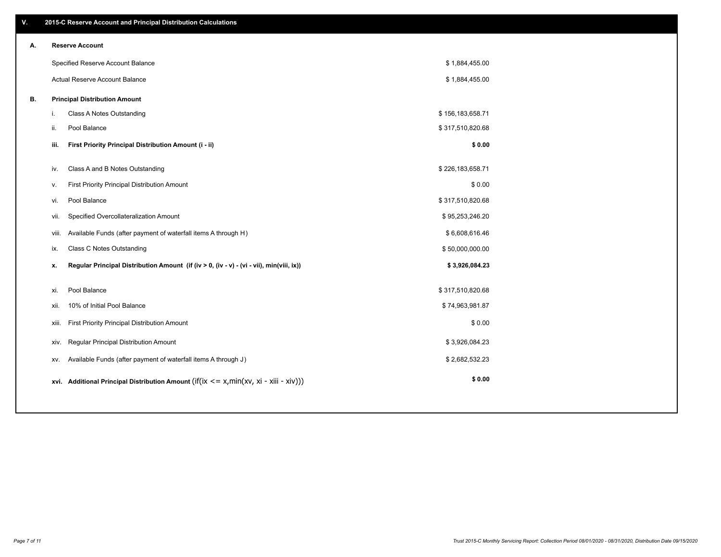| V. |       | 2015-C Reserve Account and Principal Distribution Calculations                             |                  |  |
|----|-------|--------------------------------------------------------------------------------------------|------------------|--|
| А. |       | <b>Reserve Account</b>                                                                     |                  |  |
|    |       | Specified Reserve Account Balance                                                          | \$1,884,455.00   |  |
|    |       | Actual Reserve Account Balance                                                             | \$1,884,455.00   |  |
| В. |       | <b>Principal Distribution Amount</b>                                                       |                  |  |
|    | i.    | Class A Notes Outstanding                                                                  | \$156,183,658.71 |  |
|    | ji.   | Pool Balance                                                                               | \$317,510,820.68 |  |
|    | iii.  | First Priority Principal Distribution Amount (i - ii)                                      | \$0.00           |  |
|    | iv.   | Class A and B Notes Outstanding                                                            | \$226,183,658.71 |  |
|    | v.    | First Priority Principal Distribution Amount                                               | \$0.00           |  |
|    | vi.   | Pool Balance                                                                               | \$317,510,820.68 |  |
|    | vii.  | Specified Overcollateralization Amount                                                     | \$95,253,246.20  |  |
|    | viii. | Available Funds (after payment of waterfall items A through H)                             | \$6,608,616.46   |  |
|    | ix.   | <b>Class C Notes Outstanding</b>                                                           | \$50,000,000.00  |  |
|    | х.    | Regular Principal Distribution Amount (if (iv > 0, (iv - v) - (vi - vii), min(viii, ix))   | \$3,926,084.23   |  |
|    |       |                                                                                            |                  |  |
|    | xi.   | Pool Balance                                                                               | \$317,510,820.68 |  |
|    | xii.  | 10% of Initial Pool Balance                                                                | \$74,963,981.87  |  |
|    | xiii. | First Priority Principal Distribution Amount                                               | \$0.00           |  |
|    | XIV.  | Regular Principal Distribution Amount                                                      | \$3,926,084.23   |  |
|    | XV.   | Available Funds (after payment of waterfall items A through J)                             | \$2,682,532.23   |  |
|    |       | xvi. Additional Principal Distribution Amount (if(ix $\lt$ = x, min(xv, xi - xiii - xiv))) | \$0.00           |  |
|    |       |                                                                                            |                  |  |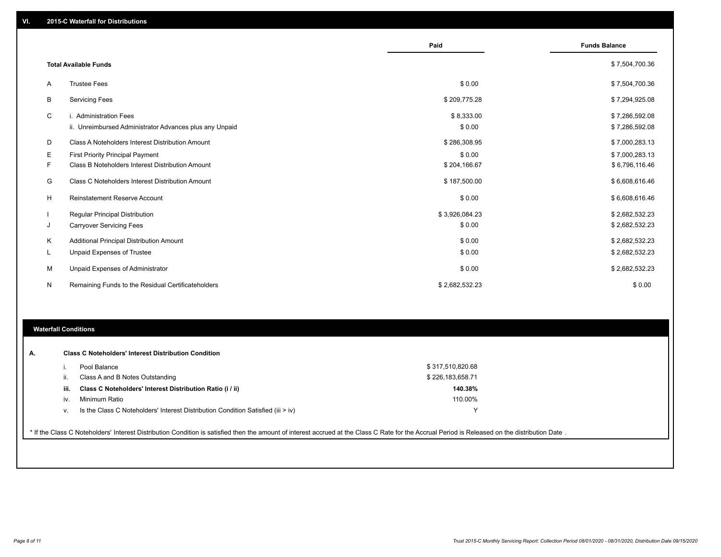|    |                                                                                   | Paid                 | <b>Funds Balance</b>             |
|----|-----------------------------------------------------------------------------------|----------------------|----------------------------------|
|    | <b>Total Available Funds</b>                                                      |                      | \$7,504,700.36                   |
| A  | <b>Trustee Fees</b>                                                               | \$0.00               | \$7,504,700.36                   |
| В  | <b>Servicing Fees</b>                                                             | \$209,775.28         | \$7,294,925.08                   |
| C  | i. Administration Fees<br>ii. Unreimbursed Administrator Advances plus any Unpaid | \$8,333.00<br>\$0.00 | \$7,286,592.08<br>\$7,286,592.08 |
| D  | Class A Noteholders Interest Distribution Amount                                  | \$286,308.95         | \$7,000,283.13                   |
| Е  | First Priority Principal Payment                                                  | \$0.00               | \$7,000,283.13                   |
| F. | <b>Class B Noteholders Interest Distribution Amount</b>                           | \$204,166.67         | \$6,796,116.46                   |
| G  | <b>Class C Noteholders Interest Distribution Amount</b>                           | \$187,500.00         | \$6,608,616.46                   |
| H  | <b>Reinstatement Reserve Account</b>                                              | \$0.00               | \$6,608,616.46                   |
|    | Regular Principal Distribution                                                    | \$3,926,084.23       | \$2,682,532.23                   |
| J  | <b>Carryover Servicing Fees</b>                                                   | \$0.00               | \$2,682,532.23                   |
| K  | Additional Principal Distribution Amount                                          | \$0.00               | \$2,682,532.23                   |
| L  | Unpaid Expenses of Trustee                                                        | \$0.00               | \$2,682,532.23                   |
| м  | Unpaid Expenses of Administrator                                                  | \$0.00               | \$2,682,532.23                   |
| N  | Remaining Funds to the Residual Certificateholders                                | \$2,682,532.23       | \$0.00                           |

# **Waterfall Conditions**

|      | <b>Class C Noteholders' Interest Distribution Condition</b><br>Pool Balance        | \$317,510,820.68 |  |
|------|------------------------------------------------------------------------------------|------------------|--|
|      | Class A and B Notes Outstanding                                                    | \$226,183,658.71 |  |
| iii. | Class C Noteholders' Interest Distribution Ratio (i / ii)                          | 140.38%          |  |
| iv.  | Minimum Ratio                                                                      | 110.00%          |  |
| V.   | Is the Class C Noteholders' Interest Distribution Condition Satisfied (iii $>$ iv) |                  |  |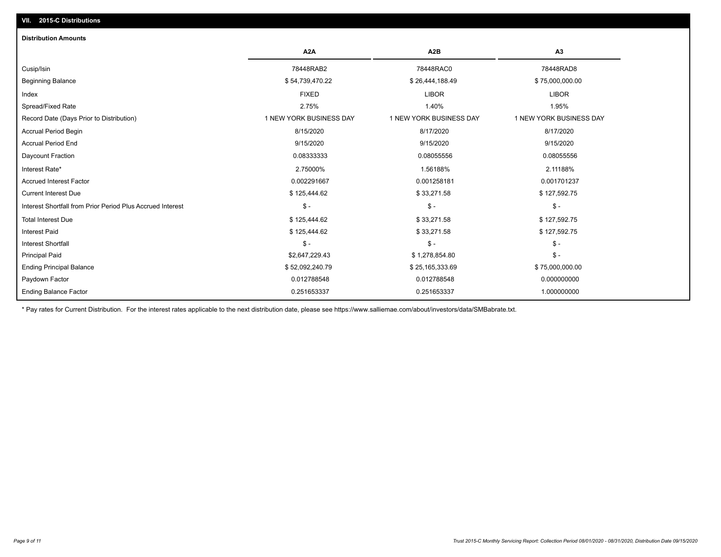# **VII. 2015-C Distributions**

| <b>Distribution Amounts</b>                                |                         |                         |                         |
|------------------------------------------------------------|-------------------------|-------------------------|-------------------------|
|                                                            | A <sub>2</sub> A        | A <sub>2</sub> B        | A <sub>3</sub>          |
| Cusip/Isin                                                 | 78448RAB2               | 78448RAC0               | 78448RAD8               |
| <b>Beginning Balance</b>                                   | \$54,739,470.22         | \$26,444,188.49         | \$75,000,000.00         |
| Index                                                      | <b>FIXED</b>            | <b>LIBOR</b>            | <b>LIBOR</b>            |
| Spread/Fixed Rate                                          | 2.75%                   | 1.40%                   | 1.95%                   |
| Record Date (Days Prior to Distribution)                   | 1 NEW YORK BUSINESS DAY | 1 NEW YORK BUSINESS DAY | 1 NEW YORK BUSINESS DAY |
| Accrual Period Begin                                       | 8/15/2020               | 8/17/2020               | 8/17/2020               |
| <b>Accrual Period End</b>                                  | 9/15/2020               | 9/15/2020               | 9/15/2020               |
| <b>Daycount Fraction</b>                                   | 0.08333333              | 0.08055556              | 0.08055556              |
| Interest Rate*                                             | 2.75000%                | 1.56188%                | 2.11188%                |
| <b>Accrued Interest Factor</b>                             | 0.002291667             | 0.001258181             | 0.001701237             |
| <b>Current Interest Due</b>                                | \$125,444.62            | \$33,271.58             | \$127,592.75            |
| Interest Shortfall from Prior Period Plus Accrued Interest | $\mathsf{\$}$ -         | $$ -$                   | $\mathsf{\$}$ -         |
| <b>Total Interest Due</b>                                  | \$125,444.62            | \$33,271.58             | \$127,592.75            |
| <b>Interest Paid</b>                                       | \$125,444.62            | \$33,271.58             | \$127,592.75            |
| <b>Interest Shortfall</b>                                  | $\mathsf{\$}$ -         | \$-                     | $$ -$                   |
| <b>Principal Paid</b>                                      | \$2,647,229.43          | \$1,278,854.80          | $$ -$                   |
| <b>Ending Principal Balance</b>                            | \$52,092,240.79         | \$25,165,333.69         | \$75,000,000.00         |
| Paydown Factor                                             | 0.012788548             | 0.012788548             | 0.000000000             |
| <b>Ending Balance Factor</b>                               | 0.251653337             | 0.251653337             | 1.000000000             |

\* Pay rates for Current Distribution. For the interest rates applicable to the next distribution date, please see https://www.salliemae.com/about/investors/data/SMBabrate.txt.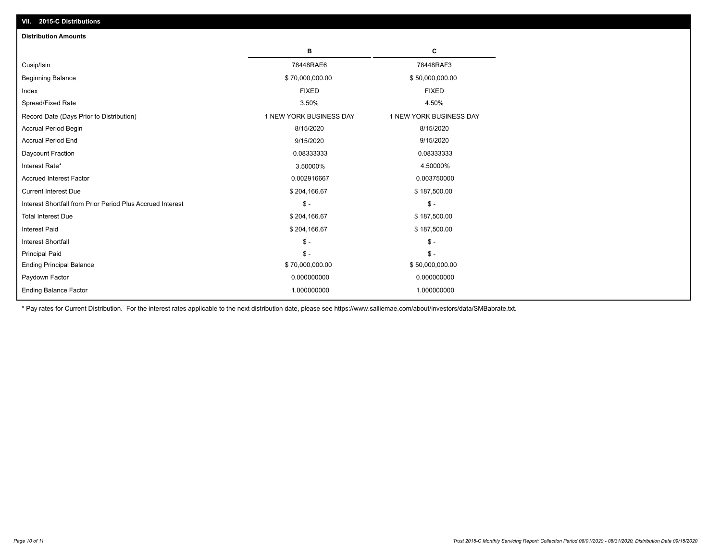| VII. 2015-C Distributions                                  |                         |                         |
|------------------------------------------------------------|-------------------------|-------------------------|
| <b>Distribution Amounts</b>                                |                         |                         |
|                                                            | в                       | C                       |
| Cusip/Isin                                                 | 78448RAE6               | 78448RAF3               |
| <b>Beginning Balance</b>                                   | \$70,000,000.00         | \$50,000,000.00         |
| Index                                                      | <b>FIXED</b>            | <b>FIXED</b>            |
| Spread/Fixed Rate                                          | 3.50%                   | 4.50%                   |
| Record Date (Days Prior to Distribution)                   | 1 NEW YORK BUSINESS DAY | 1 NEW YORK BUSINESS DAY |
| <b>Accrual Period Begin</b>                                | 8/15/2020               | 8/15/2020               |
| <b>Accrual Period End</b>                                  | 9/15/2020               | 9/15/2020               |
| Daycount Fraction                                          | 0.08333333              | 0.08333333              |
| Interest Rate*                                             | 3.50000%                | 4.50000%                |
| <b>Accrued Interest Factor</b>                             | 0.002916667             | 0.003750000             |
| <b>Current Interest Due</b>                                | \$204,166.67            | \$187,500.00            |
| Interest Shortfall from Prior Period Plus Accrued Interest | $\mathsf{\$}$ -         | $\mathsf{\$}$ -         |
| <b>Total Interest Due</b>                                  | \$204,166.67            | \$187,500.00            |
| <b>Interest Paid</b>                                       | \$204,166.67            | \$187,500.00            |
| <b>Interest Shortfall</b>                                  | $\mathbb{S}$ -          | $\mathcal{S}$ -         |
| <b>Principal Paid</b>                                      | $\mathsf{\$}$ -         | $\mathsf{\$}$ -         |
| <b>Ending Principal Balance</b>                            | \$70,000,000.00         | \$50,000,000.00         |
| Paydown Factor                                             | 0.000000000             | 0.000000000             |
| <b>Ending Balance Factor</b>                               | 1.000000000             | 1.000000000             |
|                                                            |                         |                         |

\* Pay rates for Current Distribution. For the interest rates applicable to the next distribution date, please see https://www.salliemae.com/about/investors/data/SMBabrate.txt.